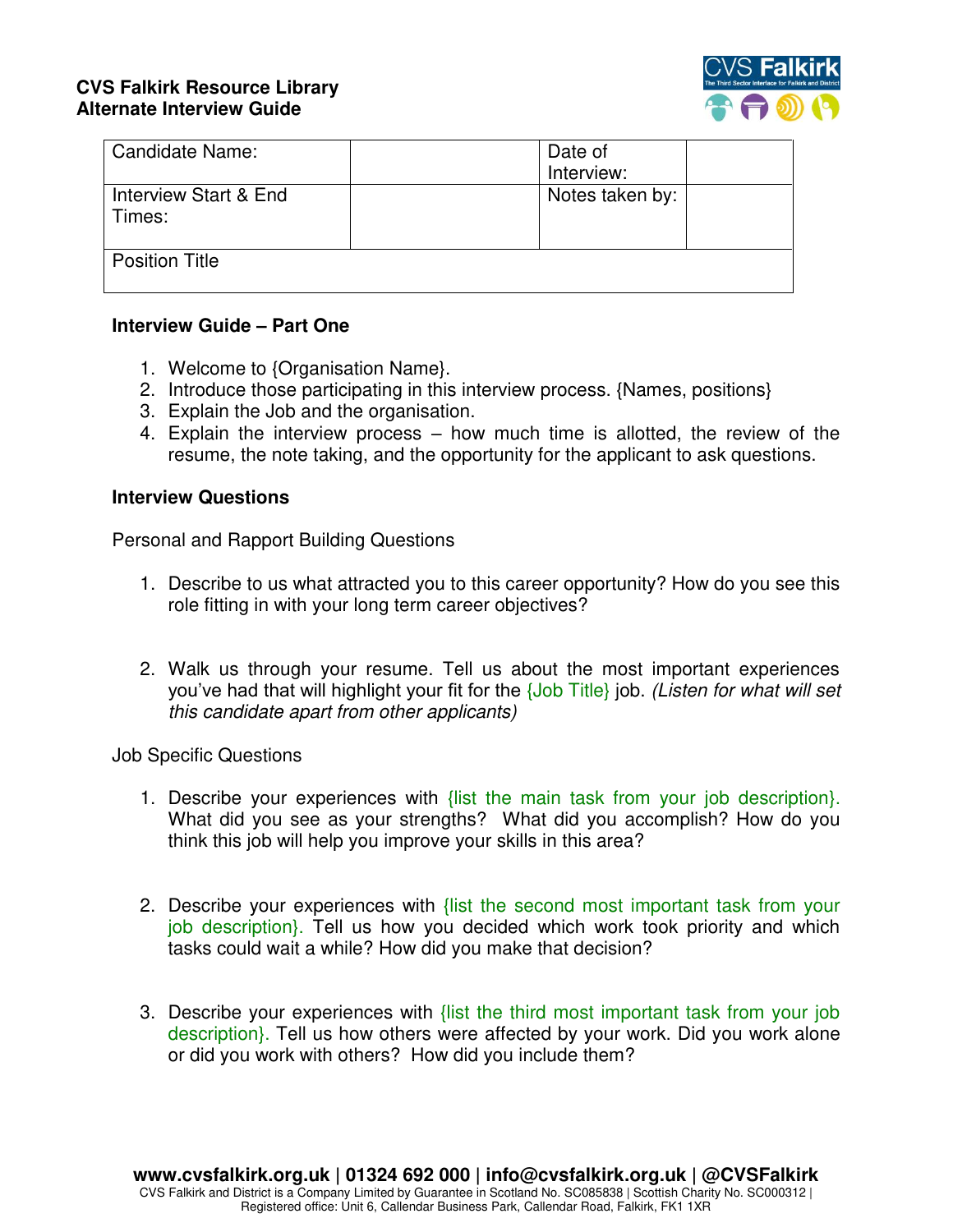## **CVS Falkirk Resource Library Alternate Interview Guide**



| l Candidate Name:               | Date of<br>Interview: |  |
|---------------------------------|-----------------------|--|
| Interview Start & End<br>Times: | Notes taken by:       |  |
| <b>Position Title</b>           |                       |  |

### **Interview Guide – Part One**

- 1. Welcome to {Organisation Name}.
- 2. Introduce those participating in this interview process. {Names, positions}
- 3. Explain the Job and the organisation.
- 4. Explain the interview process how much time is allotted, the review of the resume, the note taking, and the opportunity for the applicant to ask questions.

#### **Interview Questions**

Personal and Rapport Building Questions

- 1. Describe to us what attracted you to this career opportunity? How do you see this role fitting in with your long term career objectives?
- 2. Walk us through your resume. Tell us about the most important experiences you've had that will highlight your fit for the {Job Title} job. *(Listen for what will set this candidate apart from other applicants)*

Job Specific Questions

- 1. Describe your experiences with {list the main task from your job description}. What did you see as your strengths? What did you accomplish? How do you think this job will help you improve your skills in this area?
- 2. Describe your experiences with {list the second most important task from your job description}. Tell us how you decided which work took priority and which tasks could wait a while? How did you make that decision?
- 3. Describe your experiences with {list the third most important task from your job description}. Tell us how others were affected by your work. Did you work alone or did you work with others? How did you include them?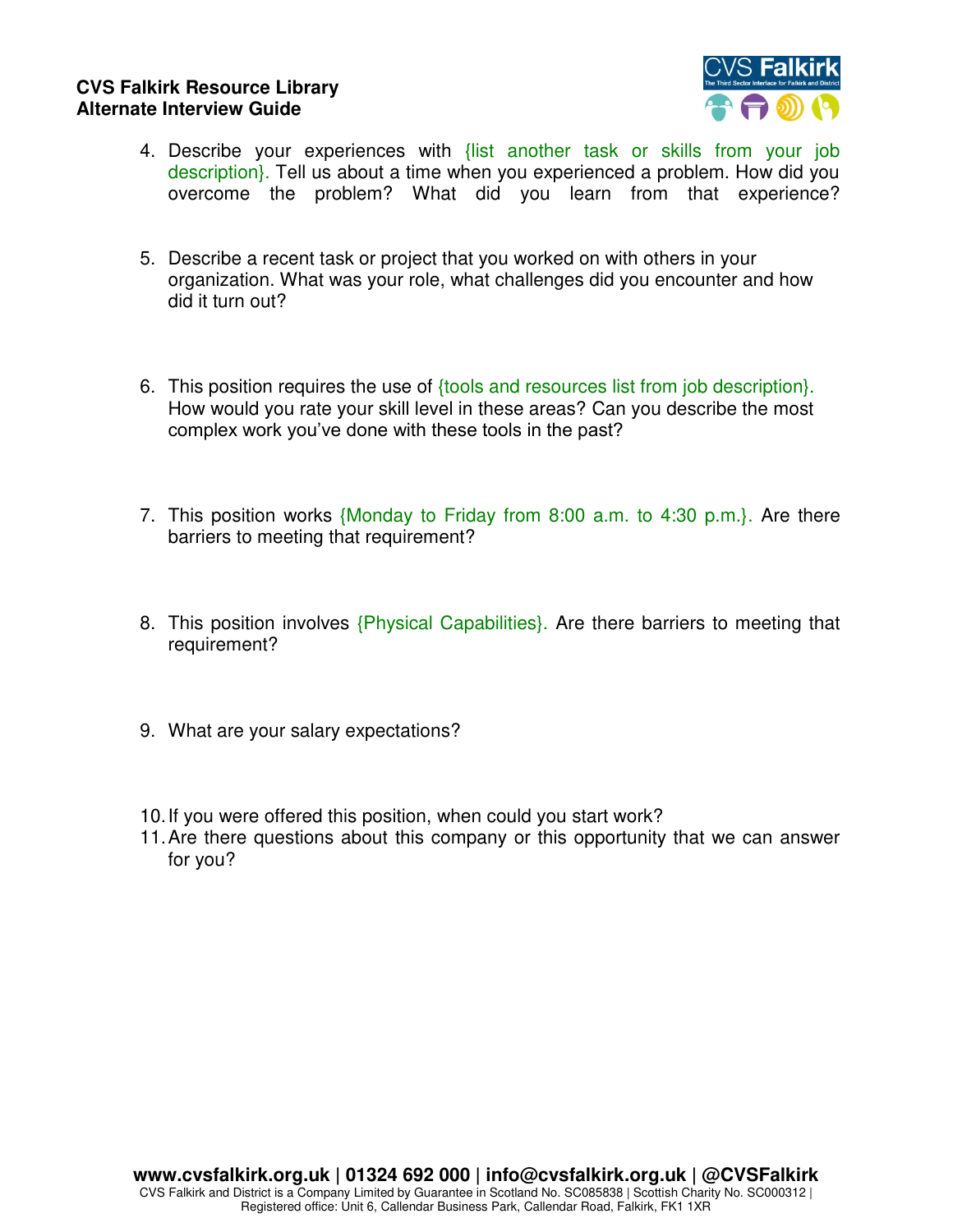# **CVS Falkirk Resource Library Alternate Interview Guide**



- 4. Describe your experiences with {list another task or skills from your job description}. Tell us about a time when you experienced a problem. How did you overcome the problem? What did you learn from that experience?
- 5. Describe a recent task or project that you worked on with others in your organization. What was your role, what challenges did you encounter and how did it turn out?
- 6. This position requires the use of {tools and resources list from job description}. How would you rate your skill level in these areas? Can you describe the most complex work you've done with these tools in the past?
- 7. This position works {Monday to Friday from 8:00 a.m. to 4:30 p.m.}. Are there barriers to meeting that requirement?
- 8. This position involves {Physical Capabilities}. Are there barriers to meeting that requirement?
- 9. What are your salary expectations?
- 10. If you were offered this position, when could you start work?
- 11. Are there questions about this company or this opportunity that we can answer for you?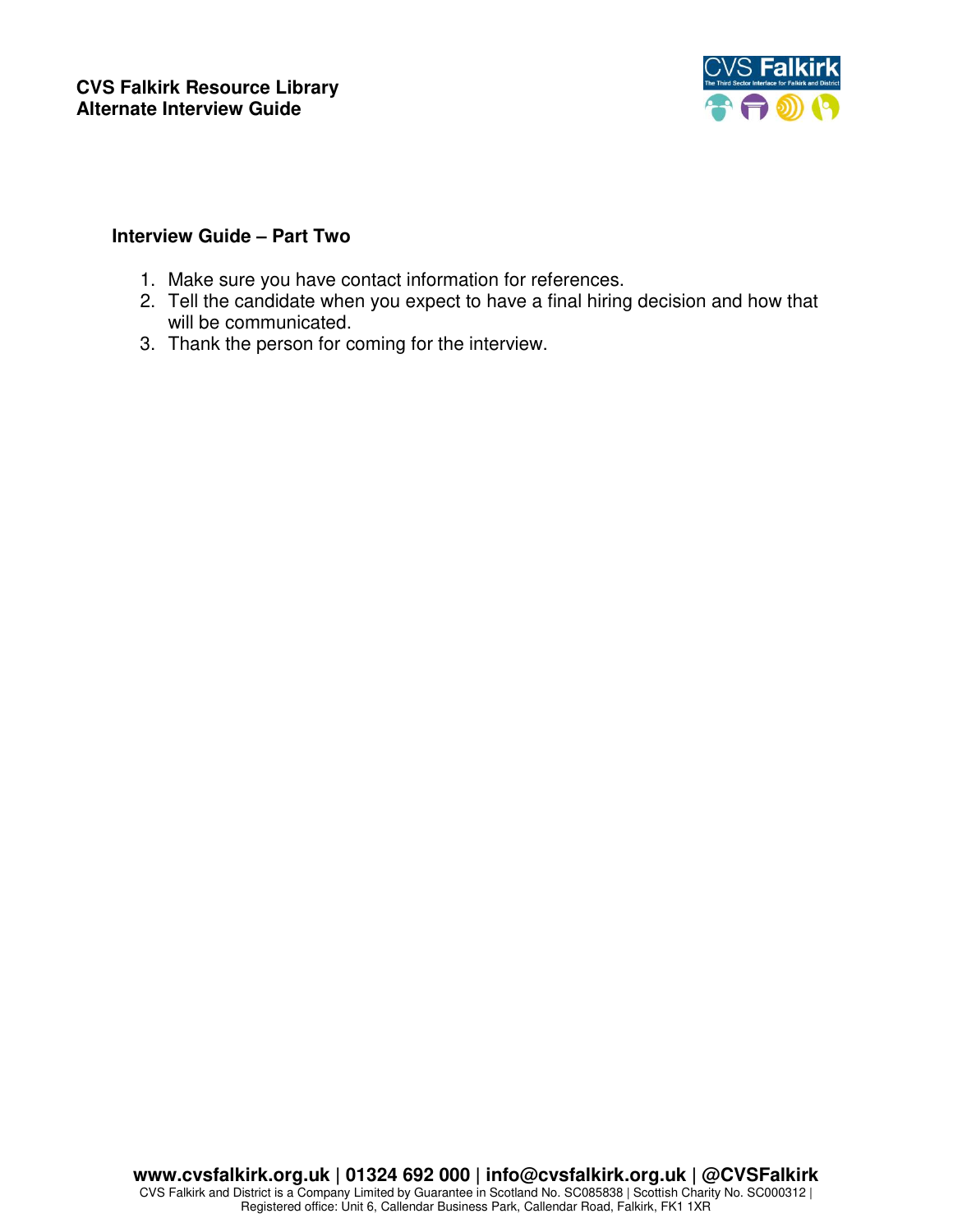

## **Interview Guide – Part Two**

- 1. Make sure you have contact information for references.
- 2. Tell the candidate when you expect to have a final hiring decision and how that will be communicated.
- 3. Thank the person for coming for the interview.